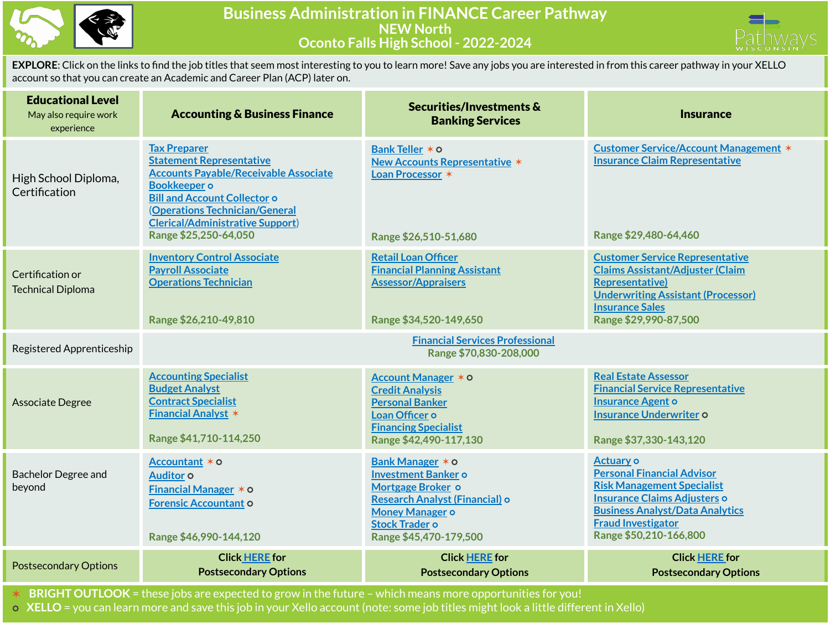

## **Business Administration in FINANCE Career Pathway NEW North Oconto Falls High School - 2022-2024**



**EXPLORE**: Click on the links to find the job titles that seem most interesting to you to learn more! Save any jobs you are interested in from this career pathway in your XELLO account so that you can create an Academic and Career Plan (ACP) later on.

| <b>Educational Level</b><br>May also require work<br>experience | <b>Accounting &amp; Business Finance</b>                                                                                                                                                                                                                                   | Securities/Investments &<br><b>Banking Services</b>                                                                                                                                | <b>Insurance</b>                                                                                                                                                                                                            |
|-----------------------------------------------------------------|----------------------------------------------------------------------------------------------------------------------------------------------------------------------------------------------------------------------------------------------------------------------------|------------------------------------------------------------------------------------------------------------------------------------------------------------------------------------|-----------------------------------------------------------------------------------------------------------------------------------------------------------------------------------------------------------------------------|
| High School Diploma,<br>Certification                           | <b>Tax Preparer</b><br><b>Statement Representative</b><br><b>Accounts Payable/Receivable Associate</b><br><b>Bookkeeper</b> o<br><b>Bill and Account Collector o</b><br>(Operations Technician/General<br><b>Clerical/Administrative Support)</b><br>Range \$25,250-64,050 | Bank Teller * 0<br><b>New Accounts Representative *</b><br>Loan Processor *<br>Range \$26,510-51,680                                                                               | <b>Customer Service/Account Management *</b><br><b>Insurance Claim Representative</b><br>Range \$29,480-64,460                                                                                                              |
| Certification or<br><b>Technical Diploma</b>                    | <b>Inventory Control Associate</b><br><b>Payroll Associate</b><br><b>Operations Technician</b><br>Range \$26,210-49,810                                                                                                                                                    | <b>Retail Loan Officer</b><br><b>Financial Planning Assistant</b><br><b>Assessor/Appraisers</b><br>Range \$34,520-149,650                                                          | <b>Customer Service Representative</b><br><b>Claims Assistant/Adjuster (Claim</b><br><b>Representative)</b><br><b>Underwriting Assistant (Processor)</b><br><b>Insurance Sales</b><br>Range \$29,990-87,500                 |
| Registered Apprenticeship                                       |                                                                                                                                                                                                                                                                            | <b>Financial Services Professional</b><br>Range \$70,830-208,000                                                                                                                   |                                                                                                                                                                                                                             |
| Associate Degree                                                | <b>Accounting Specialist</b><br><b>Budget Analyst</b><br><b>Contract Specialist</b><br><b>Financial Analyst *</b><br>Range \$41,710-114,250                                                                                                                                | Account Manager * 0<br><b>Credit Analysis</b><br><b>Personal Banker</b><br>Loan Officer o<br><b>Financing Specialist</b><br>Range \$42,490-117,130                                 | <b>Real Estate Assessor</b><br><b>Financial Service Representative</b><br><b>Insurance Agent o</b><br><b>Insurance Underwriter o</b><br>Range \$37,330-143,120                                                              |
| <b>Bachelor Degree and</b><br>beyond                            | Accountant * o<br>Auditor <sub>o</sub><br><b>Financial Manager <math>*</math> <math>\circ</math></b><br><b>Forensic Accountant O</b><br>Range \$46,990-144,120                                                                                                             | Bank Manager * 0<br><b>Investment Banker o</b><br>Mortgage Broker o<br>Research Analyst (Financial) o<br><b>Money Manager o</b><br><b>Stock Trader o</b><br>Range \$45,470-179,500 | <b>Actuary o</b><br><b>Personal Financial Advisor</b><br><b>Risk Management Specialist</b><br>Insurance Claims Adjusters o<br><b>Business Analyst/Data Analytics</b><br><b>Fraud Investigator</b><br>Range \$50,210-166,800 |
| <b>Postsecondary Options</b>                                    | <b>Click HERE</b> for<br><b>Postsecondary Options</b>                                                                                                                                                                                                                      | <b>Click HERE</b> for<br><b>Postsecondary Options</b>                                                                                                                              | <b>Click HERE for</b><br><b>Postsecondary Options</b>                                                                                                                                                                       |

✶ **BRIGHT OUTLOOK** = these jobs are expected to grow in the future – which means more opportunities for you!

⭘ **XELLO** = you can learn more and save this job in your Xello account (note: some job titles might look a little different in Xello)